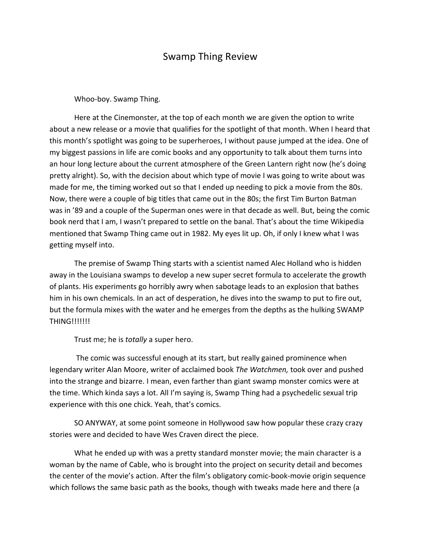## Swamp Thing Review

Whoo-boy. Swamp Thing.

Here at the Cinemonster, at the top of each month we are given the option to write about a new release or a movie that qualifies for the spotlight of that month. When I heard that this month's spotlight was going to be superheroes, I without pause jumped at the idea. One of my biggest passions in life are comic books and any opportunity to talk about them turns into an hour long lecture about the current atmosphere of the Green Lantern right now (he's doing pretty alright). So, with the decision about which type of movie I was going to write about was made for me, the timing worked out so that I ended up needing to pick a movie from the 80s. Now, there were a couple of big titles that came out in the 80s; the first Tim Burton Batman was in '89 and a couple of the Superman ones were in that decade as well. But, being the comic book nerd that I am, I wasn't prepared to settle on the banal. That's about the time Wikipedia mentioned that Swamp Thing came out in 1982. My eyes lit up. Oh, if only I knew what I was getting myself into.

The premise of Swamp Thing starts with a scientist named Alec Holland who is hidden away in the Louisiana swamps to develop a new super secret formula to accelerate the growth of plants. His experiments go horribly awry when sabotage leads to an explosion that bathes him in his own chemicals. In an act of desperation, he dives into the swamp to put to fire out, but the formula mixes with the water and he emerges from the depths as the hulking SWAMP **THING!!!!!!!!!** 

Trust me; he is *totally* a super hero.

The comic was successful enough at its start, but really gained prominence when legendary writer Alan Moore, writer of acclaimed book *The Watchmen,* took over and pushed into the strange and bizarre. I mean, even farther than giant swamp monster comics were at the time. Which kinda says a lot. All I'm saying is, Swamp Thing had a psychedelic sexual trip experience with this one chick. Yeah, that's comics.

SO ANYWAY, at some point someone in Hollywood saw how popular these crazy crazy stories were and decided to have Wes Craven direct the piece.

What he ended up with was a pretty standard monster movie; the main character is a woman by the name of Cable, who is brought into the project on security detail and becomes the center of the movie's action. After the film's obligatory comic-book-movie origin sequence which follows the same basic path as the books, though with tweaks made here and there (a